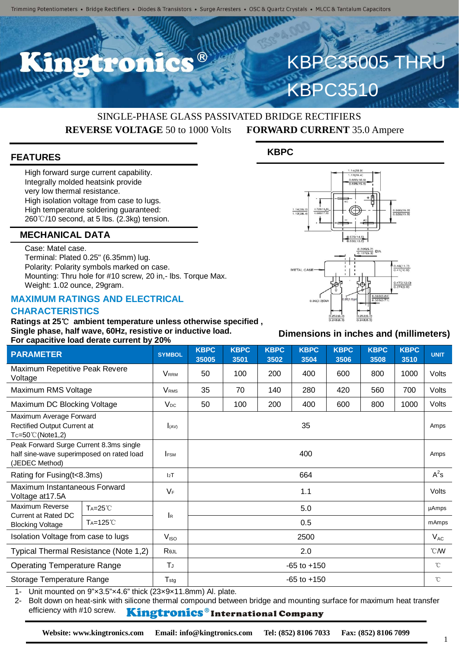

# KBPC35005 THRU KBPC3510

### SINGLE-PHASE GLASS PASSIVATED BRIDGE RECTIFIERS **REVERSE VOLTAGE** 50 to 1000 Volts **FORWARD CURRENT** 35.0 Ampere

#### **FEATURES**

High forward surge current capability. Integrally molded heatsink provide very low thermal resistance. High isolation voltage from case to lugs. High temperature soldering guaranteed: 260℃/10 second, at 5 lbs. (2.3kg) tension.

#### **MECHANICAL DATA**

Case: Matel case. Terminal: Plated 0.25" (6.35mm) lug. Polarity: Polarity symbols marked on case. Mounting: Thru hole for #10 screw, 20 in,- lbs. Torque Max. Weight: 1.02 ounce, 29gram.

#### **MAXIMUM RATINGS AND ELECTRICAL CHARACTERISTICS**

**Ratings at 25**℃ **ambient temperature unless otherwise specified , Single phase, half wave, 60Hz, resistive or inductive load. For capacitive load derate current by 20%**

#### **KBPC**



#### **Dimensions in inches and (millimeters)**

| $\sim$ . Supusting four actual suitors $\mathbf{y}$                                                           |                      |                           |                         |                     |                     |                     |                     |                     |                     |              |
|---------------------------------------------------------------------------------------------------------------|----------------------|---------------------------|-------------------------|---------------------|---------------------|---------------------|---------------------|---------------------|---------------------|--------------|
| <b>PARAMETER</b>                                                                                              |                      | <b>SYMBOL</b>             | <b>KBPC</b><br>35005    | <b>KBPC</b><br>3501 | <b>KBPC</b><br>3502 | <b>KBPC</b><br>3504 | <b>KBPC</b><br>3506 | <b>KBPC</b><br>3508 | <b>KBPC</b><br>3510 | <b>UNIT</b>  |
| Maximum Repetitive Peak Revere<br>Voltage                                                                     |                      | <b>VRRM</b>               | 50                      | 100                 | 200                 | 400                 | 600                 | 800                 | 1000                | Volts        |
| Maximum RMS Voltage                                                                                           |                      | <b>VRMS</b>               | 35                      | 70                  | 140                 | 280                 | 420                 | 560                 | 700                 | Volts        |
| Maximum DC Blocking Voltage                                                                                   |                      | $V_{DC}$                  | 50                      | 100                 | 200                 | 400                 | 600                 | 800                 | 1000                | Volts        |
| Maximum Average Forward<br>Rectified Output Current at<br>$Tc=50^{\circ}$ C (Note1,2)                         |                      | I(AV)                     | 35                      |                     |                     |                     |                     |                     |                     | Amps         |
| Peak Forward Surge Current 8.3ms single<br>half sine-wave superimposed on rated load<br>(JEDEC Method)        |                      | <b>IFSM</b>               | 400                     |                     |                     |                     |                     |                     |                     | Amps         |
| Rating for Fusing (t<8.3ms)                                                                                   |                      | 12T                       | 664                     |                     |                     |                     |                     |                     |                     | $A^2s$       |
| Maximum Instantaneous Forward<br>Voltage at 17.5A                                                             |                      | $V_F$                     | 1.1                     |                     |                     |                     |                     |                     |                     | <b>Volts</b> |
| Maximum Reverse<br>Current at Rated DC<br><b>Blocking Voltage</b>                                             | TA=25°C              | $\mathsf{I}_{\mathsf{R}}$ | 5.0                     |                     |                     |                     |                     |                     |                     | uAmps        |
|                                                                                                               | T <sub>A</sub> =125℃ |                           | 0.5                     |                     |                     |                     |                     |                     |                     | mAmps        |
| Isolation Voltage from case to lugs                                                                           |                      | V <sub>ISO</sub>          | 2500                    |                     |                     |                     |                     |                     |                     | $V_{AC}$     |
| Typical Thermal Resistance (Note 1,2)                                                                         |                      | Rejl                      | $\mathcal{C}$ MV<br>2.0 |                     |                     |                     |                     |                     |                     |              |
| <b>Operating Temperature Range</b>                                                                            |                      | TJ                        | $-65$ to $+150$         |                     |                     |                     |                     |                     |                     | $^{\circ}$ C |
| Storage Temperature Range                                                                                     |                      | $T_{\text{stg}}$          | $-65$ to $+150$         |                     |                     |                     |                     |                     |                     | $^{\circ}$ C |
| $1$ linit mounted on $0^n \times 2$ $5^n \times 4$ $6^n$ thick (23 $\times$ 0 $\times$ 11 $8^{nm}$ ) Al plate |                      |                           |                         |                     |                     |                     |                     |                     |                     |              |

Unit mounted on  $9" \times 3.5" \times 4.6"$  thick (23 $\times$ 9 $\times$ 11.8mm) Al. plate.

2- Bolt down on heat-sink with silicone thermal compound between bridge and mounting surface for maximum heat transfer efficiency with #10 screw. Kingtronics®International Company

**Website: www.kingtronics.com Email: info@kingtronics.com Tel: (852) 8106 7033 Fax: (852) 8106 7099**

1